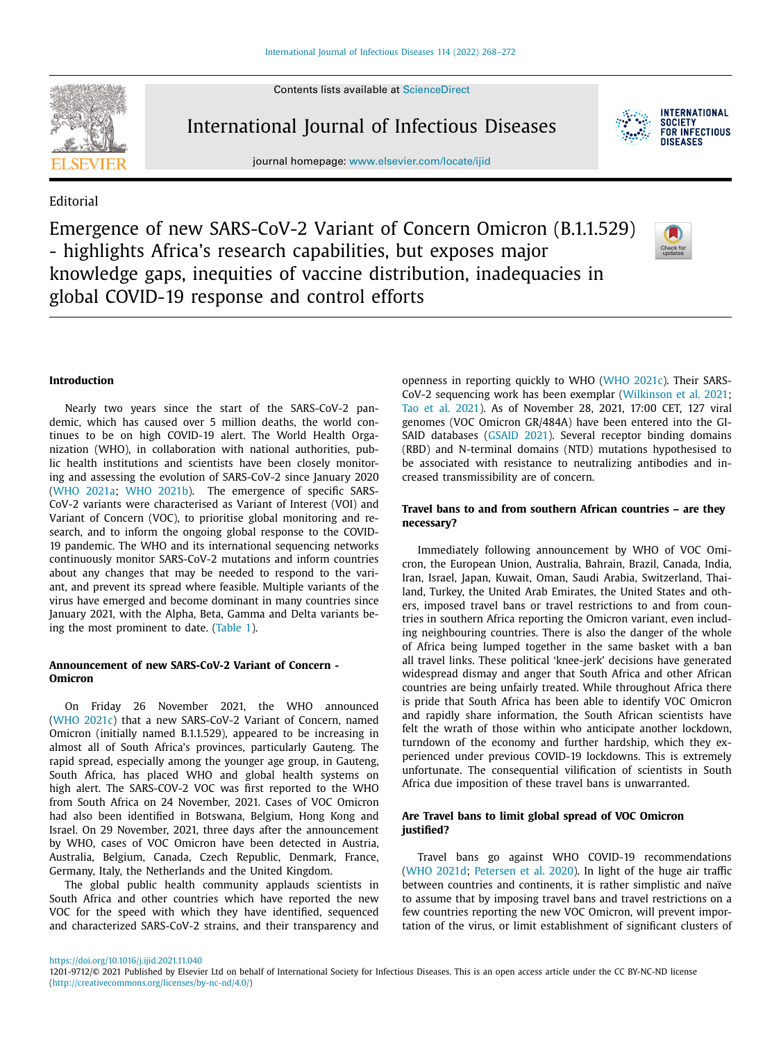Contents lists available at [ScienceDirect](http://www.ScienceDirect.com)



International Journal of Infectious Diseases



Editorial

Emergence of new SARS-CoV-2 Variant of Concern Omicron (B.1.1.529) - highlights Africa's research capabilities, but exposes major knowledge gaps, inequities of vaccine distribution, inadequacies in global COVID-19 response and control efforts



**INTERNATIONAL** SOCIETY **FOR INFECTIOUS DISEASES** 

#### **Introduction**

Nearly two years since the start of the SARS-CoV-2 pandemic, which has caused over 5 million deaths, the world continues to be on high COVID-19 alert. The World Health Organization (WHO), in collaboration with national authorities, public health institutions and scientists have been closely monitoring and assessing the evolution of SARS-CoV-2 since January 2020 (WHO [2021a;](#page-4-0) WHO [2021b\)](#page-4-0). The emergence of specific SARS-CoV-2 variants were characterised as Variant of Interest (VOI) and Variant of Concern (VOC), to prioritise global monitoring and research, and to inform the ongoing global response to the COVID-19 pandemic. The WHO and its international sequencing networks continuously monitor SARS-CoV-2 mutations and inform countries about any changes that may be needed to respond to the variant, and prevent its spread where feasible. Multiple variants of the virus have emerged and become dominant in many countries since January 2021, with the Alpha, Beta, Gamma and Delta variants being the most prominent to date. [\(Table](#page-1-0) 1).

# **Announcement of new SARS-CoV-2 Variant of Concern - Omicron**

On Friday 26 November 2021, the WHO announced (WHO [2021c\)](#page-4-0) that a new SARS-CoV-2 Variant of Concern, named Omicron (initially named B.1.1.529), appeared to be increasing in almost all of South Africa's provinces, particularly Gauteng. The rapid spread, especially among the younger age group, in Gauteng, South Africa, has placed WHO and global health systems on high alert. The SARS-COV-2 VOC was first reported to the WHO from South Africa on 24 November, 2021. Cases of VOC Omicron had also been identified in Botswana, Belgium, Hong Kong and Israel. On 29 November, 2021, three days after the announcement by WHO, cases of VOC Omicron have been detected in Austria, Australia, Belgium, Canada, Czech Republic, Denmark, France, Germany, Italy, the Netherlands and the United Kingdom.

The global public health community applauds scientists in South Africa and other countries which have reported the new VOC for the speed with which they have identified, sequenced and characterized SARS-CoV-2 strains, and their transparency and openness in reporting quickly to WHO (WHO [2021c\)](#page-4-0). Their SARS-CoV-2 sequencing work has been exemplar [\(Wilkinson](#page-4-0) et al. 2021; Tao et al. [2021\)](#page-4-0). As of November 28, 2021, 17:00 CET, 127 viral genomes (VOC Omicron GR/484A) have been entered into the GI-SAID databases [\(GSAID](#page-4-0) 2021). Several receptor binding domains (RBD) and N-terminal domains (NTD) mutations hypothesised to be associated with resistance to neutralizing antibodies and increased transmissibility are of concern.

## **Travel bans to and from southern African countries – are they necessary?**

Immediately following announcement by WHO of VOC Omicron, the European Union, Australia, Bahrain, Brazil, Canada, India, Iran, Israel, Japan, Kuwait, Oman, Saudi Arabia, Switzerland, Thailand, Turkey, the United Arab Emirates, the United States and others, imposed travel bans or travel restrictions to and from countries in southern Africa reporting the Omicron variant, even including neighbouring countries. There is also the danger of the whole of Africa being lumped together in the same basket with a ban all travel links. These political 'knee-jerk' decisions have generated widespread dismay and anger that South Africa and other African countries are being unfairly treated. While throughout Africa there is pride that South Africa has been able to identify VOC Omicron and rapidly share information, the South African scientists have felt the wrath of those within who anticipate another lockdown, turndown of the economy and further hardship, which they experienced under previous COVID-19 lockdowns. This is extremely unfortunate. The consequential vilification of scientists in South Africa due imposition of these travel bans is unwarranted.

# **Are Travel bans to limit global spread of VOC Omicron justified?**

Travel bans go against WHO COVID-19 recommendations (WHO [2021d;](#page-4-0) [Petersen](#page-4-0) et al. 2020). In light of the huge air traffic between countries and continents, it is rather simplistic and naïve to assume that by imposing travel bans and travel restrictions on a few countries reporting the new VOC Omicron, will prevent importation of the virus, or limit establishment of significant clusters of

<sup>1201-9712/© 2021</sup> Published by Elsevier Ltd on behalf of International Society for Infectious Diseases. This is an open access article under the CC BY-NC-ND license [\(http://creativecommons.org/licenses/by-nc-nd/4.0/\)](http://creativecommons.org/licenses/by-nc-nd/4.0/)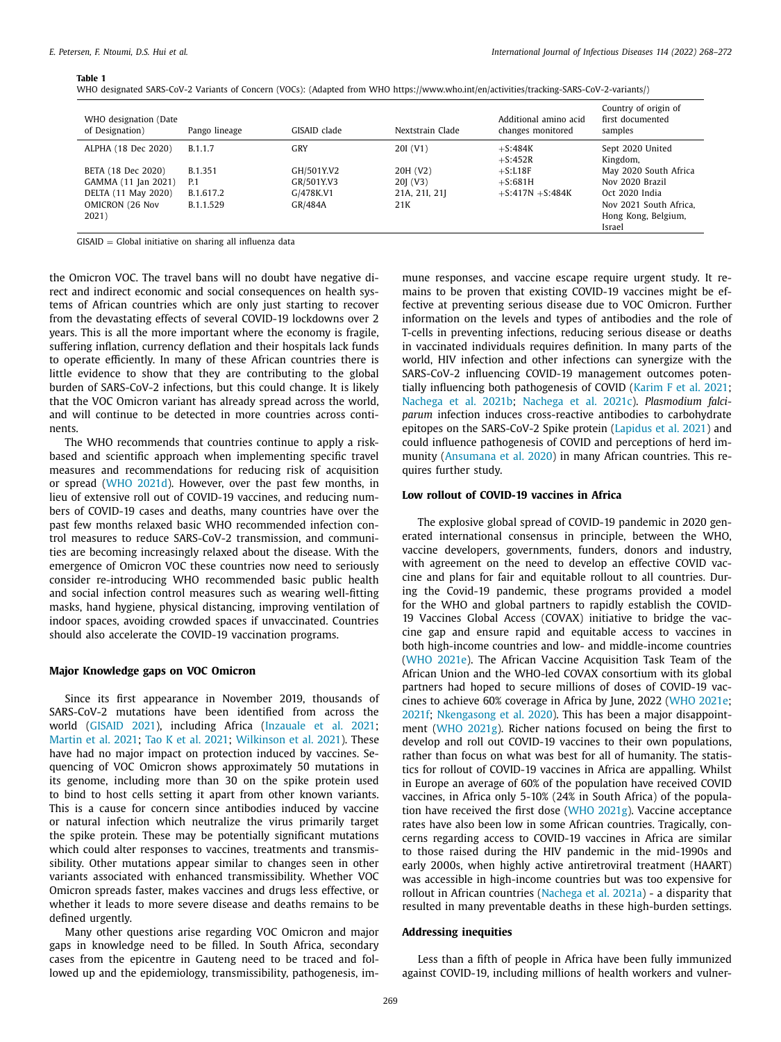#### <span id="page-1-0"></span>**Table 1**

| WHO designated SARS-CoV-2 Variants of Concern (VOCs): (Adapted from WHO https://www.who.int/en/activities/tracking-SARS-CoV-2-variants/) |  |
|------------------------------------------------------------------------------------------------------------------------------------------|--|
|------------------------------------------------------------------------------------------------------------------------------------------|--|

| WHO designation (Date<br>of Designation) | Pango lineage | GISAID clade | Nextstrain Clade | Additional amino acid<br>changes monitored | Country of origin of<br>first documented<br>samples |
|------------------------------------------|---------------|--------------|------------------|--------------------------------------------|-----------------------------------------------------|
| ALPHA (18 Dec 2020)                      | B.1.1.7       | GRY          | 20I (V1)         | $+$ S:484K<br>$+$ S:452R                   | Sept 2020 United<br>Kingdom,                        |
| BETA (18 Dec 2020)                       | B.1.351       | GH/501Y.V2   | 20H (V2)         | $+S:LI8F$                                  | May 2020 South Africa                               |
| GAMMA (11 Jan 2021)                      | P.1           | GR/501Y.V3   | 20 (V3)          | $+$ S:681H                                 | Nov 2020 Brazil                                     |
| DELTA (11 May 2020)                      | B.1.617.2     | G/478K.V1    | 21A, 21I, 21J    | $+$ S:417N $+$ S:484K                      | Oct 2020 India                                      |
| OMICRON (26 Nov                          | B.1.1.529     | GR/484A      | 21 <sub>K</sub>  |                                            | Nov 2021 South Africa.                              |
| 2021)                                    |               |              |                  |                                            | Hong Kong, Belgium,<br>Israel                       |

GISAID = Global initiative on sharing all influenza data

the Omicron VOC. The travel bans will no doubt have negative direct and indirect economic and social consequences on health systems of African countries which are only just starting to recover from the devastating effects of several COVID-19 lockdowns over 2 years. This is all the more important where the economy is fragile, suffering inflation, currency deflation and their hospitals lack funds to operate efficiently. In many of these African countries there is little evidence to show that they are contributing to the global burden of SARS-CoV-2 infections, but this could change. It is likely that the VOC Omicron variant has already spread across the world, and will continue to be detected in more countries across continents.

The WHO recommends that countries continue to apply a riskbased and scientific approach when implementing specific travel measures and recommendations for reducing risk of acquisition or spread (WHO [2021d\)](#page-4-0). However, over the past few months, in lieu of extensive roll out of COVID-19 vaccines, and reducing numbers of COVID-19 cases and deaths, many countries have over the past few months relaxed basic WHO recommended infection control measures to reduce SARS-CoV-2 transmission, and communities are becoming increasingly relaxed about the disease. With the emergence of Omicron VOC these countries now need to seriously consider re-introducing WHO recommended basic public health and social infection control measures such as wearing well-fitting masks, hand hygiene, physical distancing, improving ventilation of indoor spaces, avoiding crowded spaces if unvaccinated. Countries should also accelerate the COVID-19 vaccination programs.

# **Major Knowledge gaps on VOC Omicron**

Since its first appearance in November 2019, thousands of SARS-CoV-2 mutations have been identified from across the world [\(GISAID](#page-4-0) 2021), including Africa [\(Inzauale](#page-4-0) et al. 2021; [Martin](#page-4-0) et al. 2021; Tao K et al. [2021;](#page-4-0) [Wilkinson](#page-4-0) et al. 2021). These have had no major impact on protection induced by vaccines. Sequencing of VOC Omicron shows approximately 50 mutations in its genome, including more than 30 on the spike protein used to bind to host cells setting it apart from other known variants. This is a cause for concern since antibodies induced by vaccine or natural infection which neutralize the virus primarily target the spike protein. These may be potentially significant mutations which could alter responses to vaccines, treatments and transmissibility. Other mutations appear similar to changes seen in other variants associated with enhanced transmissibility. Whether VOC Omicron spreads faster, makes vaccines and drugs less effective, or whether it leads to more severe disease and deaths remains to be defined urgently.

Many other questions arise regarding VOC Omicron and major gaps in knowledge need to be filled. In South Africa, secondary cases from the epicentre in Gauteng need to be traced and followed up and the epidemiology, transmissibility, pathogenesis, immune responses, and vaccine escape require urgent study. It remains to be proven that existing COVID-19 vaccines might be effective at preventing serious disease due to VOC Omicron. Further information on the levels and types of antibodies and the role of T-cells in preventing infections, reducing serious disease or deaths in vaccinated individuals requires definition. In many parts of the world, HIV infection and other infections can synergize with the SARS-CoV-2 influencing COVID-19 management outcomes potentially influencing both pathogenesis of COVID [\(Karim](#page-4-0) F et al. 2021; [Nachega](#page-4-0) et al. 2021b; [Nachega](#page-4-0) et al. 2021c). *Plasmodium falciparum* infection induces cross-reactive antibodies to carbohydrate epitopes on the SARS-CoV-2 Spike protein [\(Lapidus](#page-4-0) et al. 2021) and could influence pathogenesis of COVID and perceptions of herd immunity [\(Ansumana](#page-4-0) et al. 2020) in many African countries. This requires further study.

# **Low rollout of COVID-19 vaccines in Africa**

The explosive global spread of COVID-19 pandemic in 2020 generated international consensus in principle, between the WHO, vaccine developers, governments, funders, donors and industry, with agreement on the need to develop an effective COVID vaccine and plans for fair and equitable rollout to all countries. During the Covid-19 pandemic, these programs provided a model for the WHO and global partners to rapidly establish the COVID-19 Vaccines Global Access (COVAX) initiative to bridge the vaccine gap and ensure rapid and equitable access to vaccines in both high-income countries and low- and middle-income countries (WHO [2021e\)](#page-4-0). The African Vaccine Acquisition Task Team of the African Union and the WHO-led COVAX consortium with its global partners had hoped to secure millions of doses of COVID-19 vaccines to achieve 60% coverage in Africa by June, 2022 (WHO [2021e;](#page-4-0) [2021f;](#page-4-0) [Nkengasong](#page-4-0) et al. 2020). This has been a major disappointment (WHO [2021g\)](#page-4-0). Richer nations focused on being the first to develop and roll out COVID-19 vaccines to their own populations, rather than focus on what was best for all of humanity. The statistics for rollout of COVID-19 vaccines in Africa are appalling. Whilst in Europe an average of 60% of the population have received COVID vaccines, in Africa only 5-10% (24% in South Africa) of the population have received the first dose (WHO [2021g\)](#page-4-0). Vaccine acceptance rates have also been low in some African countries. Tragically, concerns regarding access to COVID-19 vaccines in Africa are similar to those raised during the HIV pandemic in the mid-1990s and early 2000s, when highly active antiretroviral treatment (HAART) was accessible in high-income countries but was too expensive for rollout in African countries [\(Nachega](#page-4-0) et al. 2021a) - a disparity that resulted in many preventable deaths in these high-burden settings.

# **Addressing inequities**

Less than a fifth of people in Africa have been fully immunized against COVID-19, including millions of health workers and vulner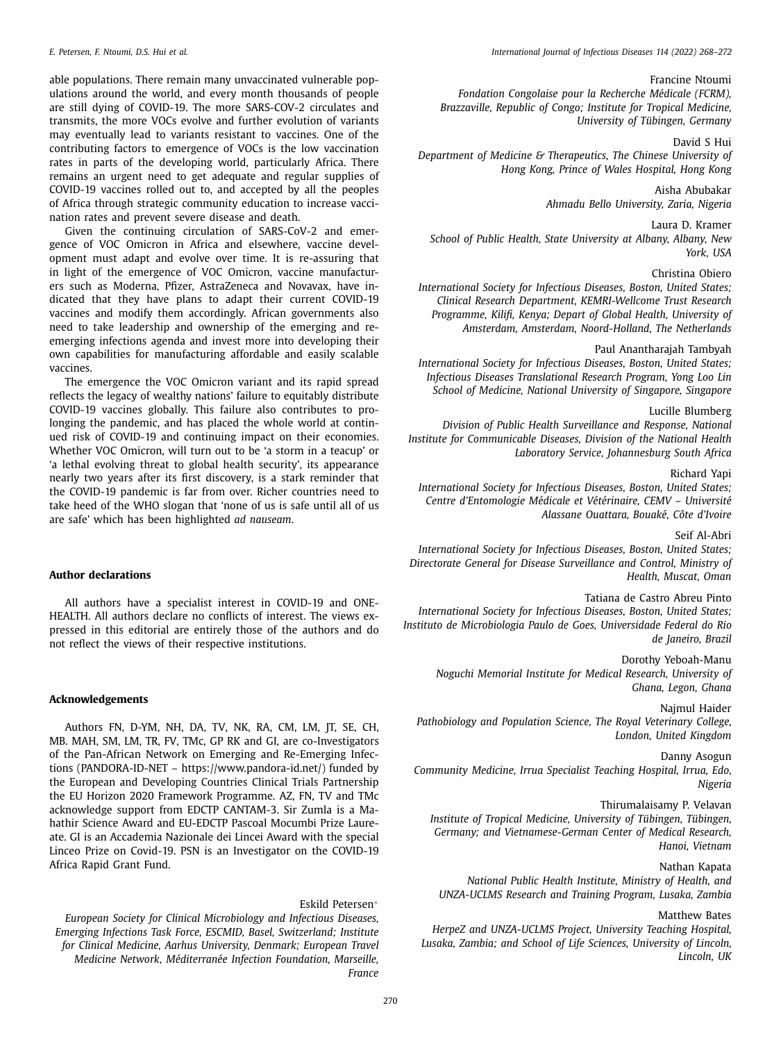able populations. There remain many unvaccinated vulnerable populations around the world, and every month thousands of people are still dying of COVID-19. The more SARS-COV-2 circulates and transmits, the more VOCs evolve and further evolution of variants may eventually lead to variants resistant to vaccines. One of the contributing factors to emergence of VOCs is the low vaccination rates in parts of the developing world, particularly Africa. There remains an urgent need to get adequate and regular supplies of COVID-19 vaccines rolled out to, and accepted by all the peoples of Africa through strategic community education to increase vaccination rates and prevent severe disease and death.

Given the continuing circulation of SARS-CoV-2 and emergence of VOC Omicron in Africa and elsewhere, vaccine development must adapt and evolve over time. It is re-assuring that in light of the emergence of VOC Omicron, vaccine manufacturers such as Moderna, Pfizer, AstraZeneca and Novavax, have indicated that they have plans to adapt their current COVID-19 vaccines and modify them accordingly. African governments also need to take leadership and ownership of the emerging and reemerging infections agenda and invest more into developing their own capabilities for manufacturing affordable and easily scalable vaccines.

The emergence the VOC Omicron variant and its rapid spread reflects the legacy of wealthy nations' failure to equitably distribute COVID-19 vaccines globally. This failure also contributes to prolonging the pandemic, and has placed the whole world at continued risk of COVID-19 and continuing impact on their economies. Whether VOC Omicron, will turn out to be 'a storm in a teacup' or 'a lethal evolving threat to global health security', its appearance nearly two years after its first discovery, is a stark reminder that the COVID-19 pandemic is far from over. Richer countries need to take heed of the WHO slogan that 'none of us is safe until all of us are safe' which has been highlighted *ad nauseam*.

### **Author declarations**

All authors have a specialist interest in COVID-19 and ONE-HEALTH. All authors declare no conflicts of interest. The views expressed in this editorial are entirely those of the authors and do not reflect the views of their respective institutions.

### **Acknowledgements**

Authors FN, D-YM, NH, DA, TV, NK, RA, CM, LM, JT, SE, CH, MB. MAH, SM, LM, TR, FV, TMc, GP RK and GI, are co-Investigators of the Pan-African Network on Emerging and Re-Emerging Infections (PANDORA-ID-NET – https://www.pandora-id.net/) funded by the European and Developing Countries Clinical Trials Partnership the EU Horizon 2020 Framework Programme. AZ, FN, TV and TMc acknowledge support from EDCTP CANTAM-3. Sir Zumla is a Mahathir Science Award and EU-EDCTP Pascoal Mocumbi Prize Laureate. GI is an Accademia Nazionale dei Lincei Award with the special Linceo Prize on Covid-19. PSN is an Investigator on the COVID-19 Africa Rapid Grant Fund.

Eskild Petersen[∗](#page-3-0) *European Society for Clinical Microbiology and Infectious Diseases, Emerging Infections Task Force, ESCMID, Basel, Switzerland; Institute for Clinical Medicine, Aarhus University, Denmark; European Travel Medicine Network, Méditerranée Infection Foundation, Marseille, France*

# Francine Ntoumi

*Fondation Congolaise pour la Recherche Médicale (FCRM), Brazzaville, Republic of Congo; Institute for Tropical Medicine, University of Tübingen, Germany*

#### David S Hui

*Department of Medicine & Therapeutics, The Chinese University of Hong Kong, Prince of Wales Hospital, Hong Kong*

> Aisha Abubakar *Ahmadu Bello University, Zaria, Nigeria*

Laura D. Kramer *School of Public Health, State University at Albany, Albany, New York, USA*

### Christina Obiero

*International Society for Infectious Diseases, Boston, United States; Clinical Research Department, KEMRI-Wellcome Trust Research Programme, Kilifi, Kenya; Depart of Global Health, University of Amsterdam, Amsterdam, Noord-Holland, The Netherlands*

#### Paul Anantharajah Tambyah

*International Society for Infectious Diseases, Boston, United States; Infectious Diseases Translational Research Program, Yong Loo Lin School of Medicine, National University of Singapore, Singapore*

### Lucille Blumberg

*Division of Public Health Surveillance and Response, National Institute for Communicable Diseases, Division of the National Health Laboratory Service, Johannesburg South Africa*

Richard Yapi

*International Society for Infectious Diseases, Boston, United States; Centre d'Entomologie Médicale et Vétérinaire, CEMV – Université Alassane Ouattara, Bouaké, Côte d'Ivoire*

#### Seif Al-Abri

*International Society for Infectious Diseases, Boston, United States; Directorate General for Disease Surveillance and Control, Ministry of Health, Muscat, Oman*

Tatiana de Castro Abreu Pinto

*International Society for Infectious Diseases, Boston, United States; Instituto de Microbiologia Paulo de Goes, Universidade Federal do Rio de Janeiro, Brazil*

Dorothy Yeboah-Manu

*Noguchi Memorial Institute for Medical Research, University of Ghana, Legon, Ghana*

Najmul Haider *Pathobiology and Population Science, The Royal Veterinary College,*

*London, United Kingdom*

Danny Asogun *Community Medicine, Irrua Specialist Teaching Hospital, Irrua, Edo, Nigeria*

Thirumalaisamy P. Velavan

*Institute of Tropical Medicine, University of Tübingen, Tübingen, Germany; and Vietnamese-German Center of Medical Research, Hanoi, Vietnam*

Nathan Kapata *National Public Health Institute, Ministry of Health, and UNZA-UCLMS Research and Training Program, Lusaka, Zambia*

# Matthew Bates

*HerpeZ and UNZA-UCLMS Project, University Teaching Hospital, Lusaka, Zambia; and School of Life Sciences, University of Lincoln, Lincoln, UK*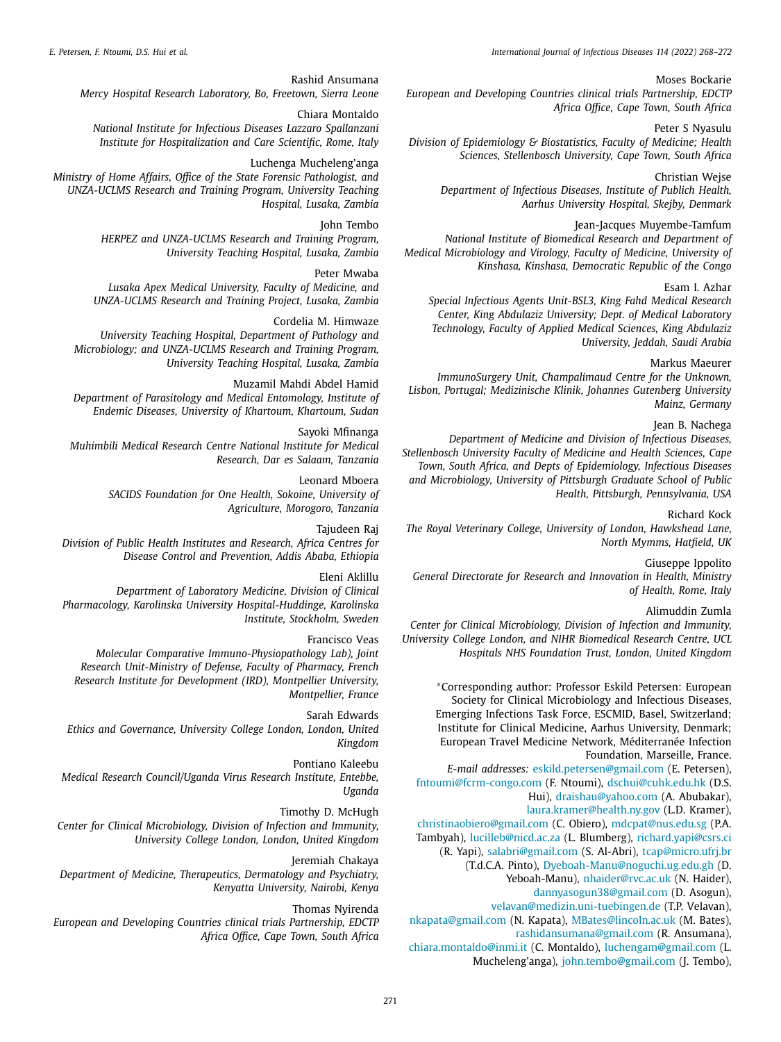<span id="page-3-0"></span>*E. Petersen, F. Ntoumi, D.S. Hui et al. International Journal of Infectious Diseases 114 (2022) 268–272*

Moses Bockarie

*European and Developing Countries clinical trials Partnership, EDCTP Africa Office, Cape Town, South Africa*

Peter S Nyasulu *Division of Epidemiology & Biostatistics, Faculty of Medicine; Health Sciences, Stellenbosch University, Cape Town, South Africa*

Christian Wejse *Department of Infectious Diseases, Institute of Publich Health, Aarhus University Hospital, Skejby, Denmark*

Jean-Jacques Muyembe-Tamfum *National Institute of Biomedical Research and Department of Medical Microbiology and Virology, Faculty of Medicine, University of Kinshasa, Kinshasa, Democratic Republic of the Congo*

Esam I. Azhar

*Special Infectious Agents Unit-BSL3, King Fahd Medical Research Center, King Abdulaziz University; Dept. of Medical Laboratory Technology, Faculty of Applied Medical Sciences, King Abdulaziz University, Jeddah, Saudi Arabia*

# Markus Maeurer

*ImmunoSurgery Unit, Champalimaud Centre for the Unknown, Lisbon, Portugal; Medizinische Klinik, Johannes Gutenberg University Mainz, Germany*

Jean B. Nachega

*Department of Medicine and Division of Infectious Diseases, Stellenbosch University Faculty of Medicine and Health Sciences, Cape Town, South Africa, and Depts of Epidemiology, Infectious Diseases and Microbiology, University of Pittsburgh Graduate School of Public Health, Pittsburgh, Pennsylvania, USA*

Richard Kock

*The Royal Veterinary College, University of London, Hawkshead Lane, North Mymms, Hatfield, UK*

Giuseppe Ippolito

*General Directorate for Research and Innovation in Health, Ministry of Health, Rome, Italy*

Alimuddin Zumla

*Center for Clinical Microbiology, Division of Infection and Immunity, University College London, and NIHR Biomedical Research Centre, UCL Hospitals NHS Foundation Trust, London, United Kingdom*

∗Corresponding author: Professor Eskild Petersen: European Society for Clinical Microbiology and Infectious Diseases, Emerging Infections Task Force, ESCMID, Basel, Switzerland; Institute for Clinical Medicine, Aarhus University, Denmark; European Travel Medicine Network, Méditerranée Infection Foundation, Marseille, France.

*E-mail addresses:* [eskild.petersen@gmail.com](mailto:eskild.petersen@gmail.com) (E. Petersen),

[fntoumi@fcrm-congo.com](mailto:fntoumi@fcrm-congo.com) (F. Ntoumi), [dschui@cuhk.edu.hk](mailto:dschui@cuhk.edu.hk) (D.S. Hui), [draishau@yahoo.com](mailto:draishau@yahoo.com) (A. Abubakar),

[laura.kramer@health.ny.gov](mailto:laura.kramer@health.ny.gov) (L.D. Kramer),

[christinaobiero@gmail.com](mailto:christinaobiero@gmail.com) (C. Obiero), [mdcpat@nus.edu.sg](mailto:mdcpat@nus.edu.sg) (P.A.

Tambyah), [lucilleb@nicd.ac.za](mailto:lucilleb@nicd.ac.za) (L. Blumberg), [richard.yapi@csrs.ci](mailto:richard.yapi@csrs.ci)

(R. Yapi), [salabri@gmail.com](mailto:salabri@gmail.com) (S. Al-Abri), [tcap@micro.ufrj.br](mailto:tcap@micro.ufrj.br)

(T.d.C.A. Pinto), [Dyeboah-Manu@noguchi.ug.edu.gh](mailto:Dyeboah-Manu@noguchi.ug.edu.gh) (D.

Yeboah-Manu), [nhaider@rvc.ac.uk](mailto:nhaider@rvc.ac.uk) (N. Haider),

[dannyasogun38@gmail.com](mailto:dannyasogun38@gmail.com) (D. Asogun),

[velavan@medizin.uni-tuebingen.de](mailto:velavan@medizin.uni-tuebingen.de) (T.P. Velavan),

[nkapata@gmail.com](mailto:nkapata@gmail.com) (N. Kapata), [MBates@lincoln.ac.uk](mailto:MBates@lincoln.ac.uk) (M. Bates), [rashidansumana@gmail.com](mailto:rashidansumana@gmail.com) (R. Ansumana),

[chiara.montaldo@inmi.it](mailto:chiara.montaldo@inmi.it) (C. Montaldo), [luchengam@gmail.com](mailto:luchengam@gmail.com) (L.

Mucheleng'anga), [john.tembo@gmail.com](mailto:john.tembo@gmail.com) (J. Tembo),

Rashid Ansumana *Mercy Hospital Research Laboratory, Bo, Freetown, Sierra Leone*

Chiara Montaldo *National Institute for Infectious Diseases Lazzaro Spallanzani Institute for Hospitalization and Care Scientific, Rome, Italy*

Luchenga Mucheleng'anga

*Ministry of Home Affairs, Office of the State Forensic Pathologist, and UNZA-UCLMS Research and Training Program, University Teaching Hospital, Lusaka, Zambia*

> John Tembo *HERPEZ and UNZA-UCLMS Research and Training Program, University Teaching Hospital, Lusaka, Zambia*

Peter Mwaba *Lusaka Apex Medical University, Faculty of Medicine, and UNZA-UCLMS Research and Training Project, Lusaka, Zambia*

Cordelia M. Himwaze *University Teaching Hospital, Department of Pathology and Microbiology; and UNZA-UCLMS Research and Training Program, University Teaching Hospital, Lusaka, Zambia*

Muzamil Mahdi Abdel Hamid *Department of Parasitology and Medical Entomology, Institute of Endemic Diseases, University of Khartoum, Khartoum, Sudan*

Sayoki Mfinanga *Muhimbili Medical Research Centre National Institute for Medical Research, Dar es Salaam, Tanzania*

> Leonard Mboera *SACIDS Foundation for One Health, Sokoine, University of Agriculture, Morogoro, Tanzania*

Tajudeen Raj *Division of Public Health Institutes and Research, Africa Centres for Disease Control and Prevention, Addis Ababa, Ethiopia*

Eleni Aklillu *Department of Laboratory Medicine, Division of Clinical Pharmacology, Karolinska University Hospital-Huddinge, Karolinska Institute, Stockholm, Sweden*

Francisco Veas *Molecular Comparative Immuno-Physiopathology Lab), Joint Research Unit-Ministry of Defense, Faculty of Pharmacy, French Research Institute for Development (IRD), Montpellier University, Montpellier, France*

Sarah Edwards

*Ethics and Governance, University College London, London, United Kingdom*

Pontiano Kaleebu

*Medical Research Council/Uganda Virus Research Institute, Entebbe, Uganda*

Timothy D. McHugh

*Center for Clinical Microbiology, Division of Infection and Immunity, University College London, London, United Kingdom*

Jeremiah Chakaya

*Department of Medicine, Therapeutics, Dermatology and Psychiatry, Kenyatta University, Nairobi, Kenya*

Thomas Nyirenda

*European and Developing Countries clinical trials Partnership, EDCTP Africa Office, Cape Town, South Africa*